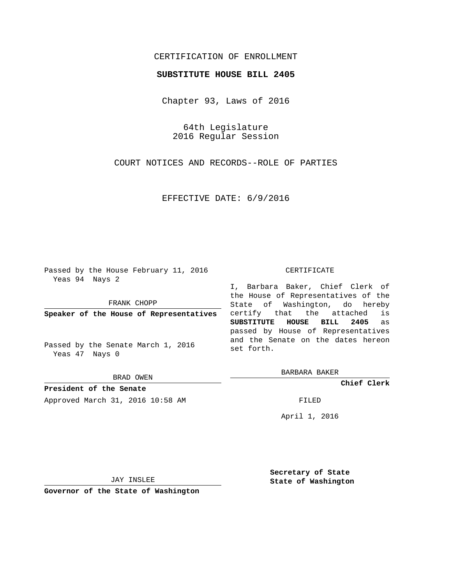## CERTIFICATION OF ENROLLMENT

## **SUBSTITUTE HOUSE BILL 2405**

Chapter 93, Laws of 2016

64th Legislature 2016 Regular Session

COURT NOTICES AND RECORDS--ROLE OF PARTIES

EFFECTIVE DATE: 6/9/2016

Passed by the House February 11, 2016 Yeas 94 Nays 2

FRANK CHOPP

**Speaker of the House of Representatives**

Passed by the Senate March 1, 2016 Yeas 47 Nays 0

BRAD OWEN

**President of the Senate** Approved March 31, 2016 10:58 AM FILED

## CERTIFICATE

I, Barbara Baker, Chief Clerk of the House of Representatives of the State of Washington, do hereby certify that the attached is **SUBSTITUTE HOUSE BILL 2405** as passed by House of Representatives and the Senate on the dates hereon set forth.

BARBARA BAKER

**Chief Clerk**

April 1, 2016

JAY INSLEE

**Governor of the State of Washington**

**Secretary of State State of Washington**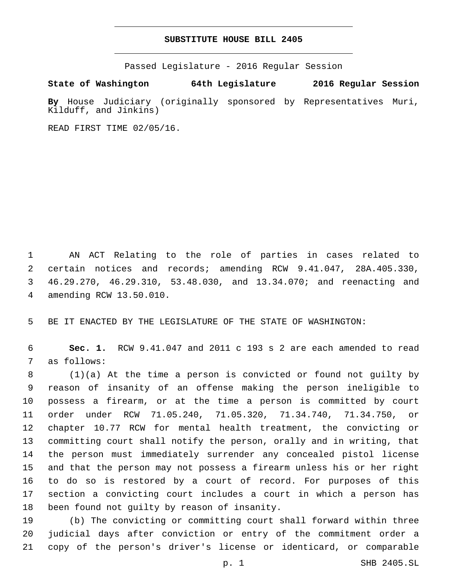## **SUBSTITUTE HOUSE BILL 2405**

Passed Legislature - 2016 Regular Session

**State of Washington 64th Legislature 2016 Regular Session**

**By** House Judiciary (originally sponsored by Representatives Muri, Kilduff, and Jinkins)

READ FIRST TIME 02/05/16.

 AN ACT Relating to the role of parties in cases related to certain notices and records; amending RCW 9.41.047, 28A.405.330, 46.29.270, 46.29.310, 53.48.030, and 13.34.070; and reenacting and amending RCW 13.50.010.4

BE IT ENACTED BY THE LEGISLATURE OF THE STATE OF WASHINGTON:

 **Sec. 1.** RCW 9.41.047 and 2011 c 193 s 2 are each amended to read 7 as follows:

 (1)(a) At the time a person is convicted or found not guilty by reason of insanity of an offense making the person ineligible to possess a firearm, or at the time a person is committed by court order under RCW 71.05.240, 71.05.320, 71.34.740, 71.34.750, or chapter 10.77 RCW for mental health treatment, the convicting or committing court shall notify the person, orally and in writing, that the person must immediately surrender any concealed pistol license and that the person may not possess a firearm unless his or her right to do so is restored by a court of record. For purposes of this section a convicting court includes a court in which a person has 18 been found not quilty by reason of insanity.

 (b) The convicting or committing court shall forward within three judicial days after conviction or entry of the commitment order a copy of the person's driver's license or identicard, or comparable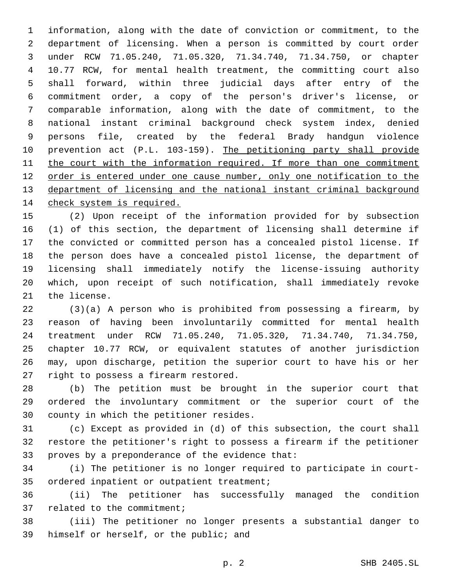information, along with the date of conviction or commitment, to the department of licensing. When a person is committed by court order under RCW 71.05.240, 71.05.320, 71.34.740, 71.34.750, or chapter 10.77 RCW, for mental health treatment, the committing court also shall forward, within three judicial days after entry of the commitment order, a copy of the person's driver's license, or comparable information, along with the date of commitment, to the national instant criminal background check system index, denied persons file, created by the federal Brady handgun violence prevention act (P.L. 103-159). The petitioning party shall provide 11 the court with the information required. If more than one commitment order is entered under one cause number, only one notification to the department of licensing and the national instant criminal background 14 check system is required.

 (2) Upon receipt of the information provided for by subsection (1) of this section, the department of licensing shall determine if the convicted or committed person has a concealed pistol license. If the person does have a concealed pistol license, the department of licensing shall immediately notify the license-issuing authority which, upon receipt of such notification, shall immediately revoke 21 the license.

 (3)(a) A person who is prohibited from possessing a firearm, by reason of having been involuntarily committed for mental health treatment under RCW 71.05.240, 71.05.320, 71.34.740, 71.34.750, chapter 10.77 RCW, or equivalent statutes of another jurisdiction may, upon discharge, petition the superior court to have his or her 27 right to possess a firearm restored.

 (b) The petition must be brought in the superior court that ordered the involuntary commitment or the superior court of the 30 county in which the petitioner resides.

 (c) Except as provided in (d) of this subsection, the court shall restore the petitioner's right to possess a firearm if the petitioner 33 proves by a preponderance of the evidence that:

 (i) The petitioner is no longer required to participate in court-35 ordered inpatient or outpatient treatment;

 (ii) The petitioner has successfully managed the condition 37 related to the commitment;

 (iii) The petitioner no longer presents a substantial danger to 39 himself or herself, or the public; and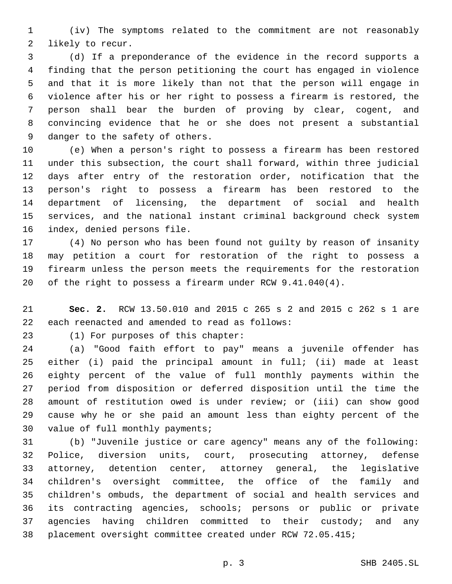(iv) The symptoms related to the commitment are not reasonably 2 likely to recur.

 (d) If a preponderance of the evidence in the record supports a finding that the person petitioning the court has engaged in violence and that it is more likely than not that the person will engage in violence after his or her right to possess a firearm is restored, the person shall bear the burden of proving by clear, cogent, and convincing evidence that he or she does not present a substantial 9 danger to the safety of others.

 (e) When a person's right to possess a firearm has been restored under this subsection, the court shall forward, within three judicial days after entry of the restoration order, notification that the person's right to possess a firearm has been restored to the department of licensing, the department of social and health services, and the national instant criminal background check system 16 index, denied persons file.

 (4) No person who has been found not guilty by reason of insanity may petition a court for restoration of the right to possess a firearm unless the person meets the requirements for the restoration of the right to possess a firearm under RCW 9.41.040(4).

 **Sec. 2.** RCW 13.50.010 and 2015 c 265 s 2 and 2015 c 262 s 1 are 22 each reenacted and amended to read as follows:

23 (1) For purposes of this chapter:

 (a) "Good faith effort to pay" means a juvenile offender has either (i) paid the principal amount in full; (ii) made at least eighty percent of the value of full monthly payments within the period from disposition or deferred disposition until the time the amount of restitution owed is under review; or (iii) can show good cause why he or she paid an amount less than eighty percent of the 30 value of full monthly payments;

 (b) "Juvenile justice or care agency" means any of the following: Police, diversion units, court, prosecuting attorney, defense attorney, detention center, attorney general, the legislative children's oversight committee, the office of the family and children's ombuds, the department of social and health services and its contracting agencies, schools; persons or public or private agencies having children committed to their custody; and any placement oversight committee created under RCW 72.05.415;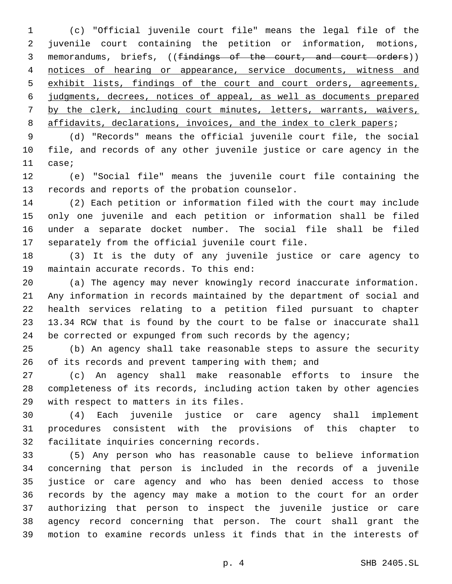(c) "Official juvenile court file" means the legal file of the juvenile court containing the petition or information, motions, memorandums, briefs, ((findings of the court, and court orders)) notices of hearing or appearance, service documents, witness and exhibit lists, findings of the court and court orders, agreements, judgments, decrees, notices of appeal, as well as documents prepared by the clerk, including court minutes, letters, warrants, waivers, 8 affidavits, declarations, invoices, and the index to clerk papers;

 (d) "Records" means the official juvenile court file, the social file, and records of any other juvenile justice or care agency in the 11 case;

 (e) "Social file" means the juvenile court file containing the 13 records and reports of the probation counselor.

 (2) Each petition or information filed with the court may include only one juvenile and each petition or information shall be filed under a separate docket number. The social file shall be filed 17 separately from the official juvenile court file.

 (3) It is the duty of any juvenile justice or care agency to 19 maintain accurate records. To this end:

 (a) The agency may never knowingly record inaccurate information. Any information in records maintained by the department of social and health services relating to a petition filed pursuant to chapter 13.34 RCW that is found by the court to be false or inaccurate shall 24 be corrected or expunged from such records by the agency;

 (b) An agency shall take reasonable steps to assure the security of its records and prevent tampering with them; and

 (c) An agency shall make reasonable efforts to insure the completeness of its records, including action taken by other agencies 29 with respect to matters in its files.

 (4) Each juvenile justice or care agency shall implement procedures consistent with the provisions of this chapter to 32 facilitate inquiries concerning records.

 (5) Any person who has reasonable cause to believe information concerning that person is included in the records of a juvenile justice or care agency and who has been denied access to those records by the agency may make a motion to the court for an order authorizing that person to inspect the juvenile justice or care agency record concerning that person. The court shall grant the motion to examine records unless it finds that in the interests of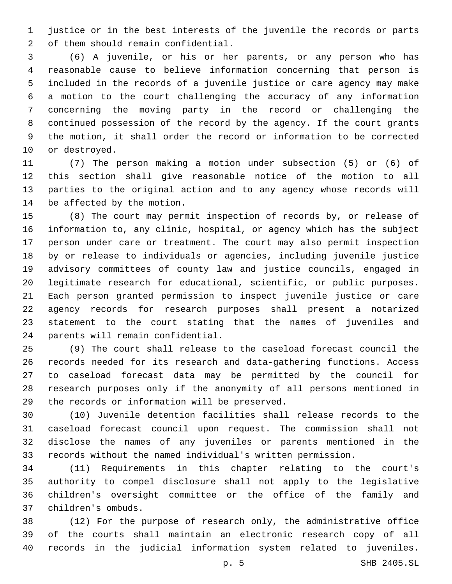justice or in the best interests of the juvenile the records or parts 2 of them should remain confidential.

 (6) A juvenile, or his or her parents, or any person who has reasonable cause to believe information concerning that person is included in the records of a juvenile justice or care agency may make a motion to the court challenging the accuracy of any information concerning the moving party in the record or challenging the continued possession of the record by the agency. If the court grants the motion, it shall order the record or information to be corrected 10 or destroyed.

 (7) The person making a motion under subsection (5) or (6) of this section shall give reasonable notice of the motion to all parties to the original action and to any agency whose records will 14 be affected by the motion.

 (8) The court may permit inspection of records by, or release of information to, any clinic, hospital, or agency which has the subject person under care or treatment. The court may also permit inspection by or release to individuals or agencies, including juvenile justice advisory committees of county law and justice councils, engaged in legitimate research for educational, scientific, or public purposes. Each person granted permission to inspect juvenile justice or care agency records for research purposes shall present a notarized statement to the court stating that the names of juveniles and 24 parents will remain confidential.

 (9) The court shall release to the caseload forecast council the records needed for its research and data-gathering functions. Access to caseload forecast data may be permitted by the council for research purposes only if the anonymity of all persons mentioned in 29 the records or information will be preserved.

 (10) Juvenile detention facilities shall release records to the caseload forecast council upon request. The commission shall not disclose the names of any juveniles or parents mentioned in the records without the named individual's written permission.

 (11) Requirements in this chapter relating to the court's authority to compel disclosure shall not apply to the legislative children's oversight committee or the office of the family and children's ombuds.37

 (12) For the purpose of research only, the administrative office of the courts shall maintain an electronic research copy of all records in the judicial information system related to juveniles.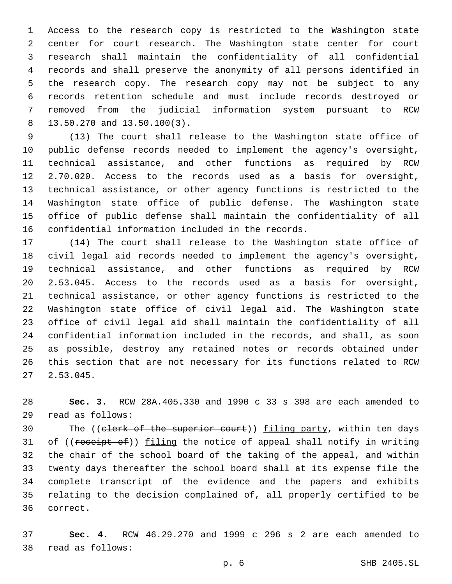Access to the research copy is restricted to the Washington state center for court research. The Washington state center for court research shall maintain the confidentiality of all confidential records and shall preserve the anonymity of all persons identified in the research copy. The research copy may not be subject to any records retention schedule and must include records destroyed or removed from the judicial information system pursuant to RCW 13.50.270 and 13.50.100(3).

 (13) The court shall release to the Washington state office of public defense records needed to implement the agency's oversight, technical assistance, and other functions as required by RCW 2.70.020. Access to the records used as a basis for oversight, technical assistance, or other agency functions is restricted to the Washington state office of public defense. The Washington state office of public defense shall maintain the confidentiality of all 16 confidential information included in the records.

 (14) The court shall release to the Washington state office of civil legal aid records needed to implement the agency's oversight, technical assistance, and other functions as required by RCW 2.53.045. Access to the records used as a basis for oversight, technical assistance, or other agency functions is restricted to the Washington state office of civil legal aid. The Washington state office of civil legal aid shall maintain the confidentiality of all confidential information included in the records, and shall, as soon as possible, destroy any retained notes or records obtained under this section that are not necessary for its functions related to RCW  $27, 2.53.045.$ 

 **Sec. 3.** RCW 28A.405.330 and 1990 c 33 s 398 are each amended to read as follows:29

30 The ((clerk of the superior court)) filing party, within ten days 31 of ((receipt of)) filing the notice of appeal shall notify in writing the chair of the school board of the taking of the appeal, and within twenty days thereafter the school board shall at its expense file the complete transcript of the evidence and the papers and exhibits relating to the decision complained of, all properly certified to be 36 correct.

 **Sec. 4.** RCW 46.29.270 and 1999 c 296 s 2 are each amended to read as follows:38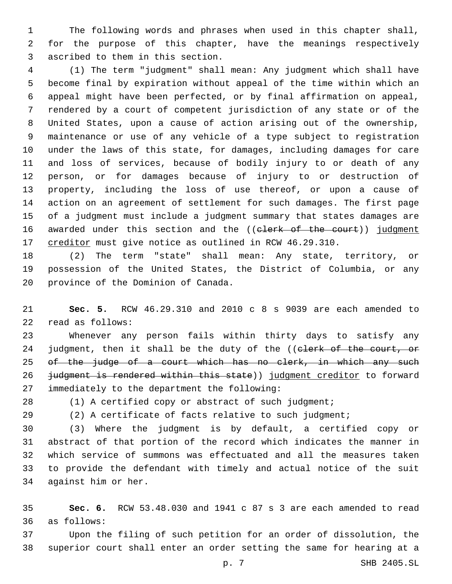The following words and phrases when used in this chapter shall, for the purpose of this chapter, have the meanings respectively 3 ascribed to them in this section.

 (1) The term "judgment" shall mean: Any judgment which shall have become final by expiration without appeal of the time within which an appeal might have been perfected, or by final affirmation on appeal, rendered by a court of competent jurisdiction of any state or of the United States, upon a cause of action arising out of the ownership, maintenance or use of any vehicle of a type subject to registration under the laws of this state, for damages, including damages for care and loss of services, because of bodily injury to or death of any person, or for damages because of injury to or destruction of property, including the loss of use thereof, or upon a cause of action on an agreement of settlement for such damages. The first page of a judgment must include a judgment summary that states damages are 16 awarded under this section and the ((elerk of the court)) judgment 17 creditor must give notice as outlined in RCW 46.29.310.

 (2) The term "state" shall mean: Any state, territory, or possession of the United States, the District of Columbia, or any 20 province of the Dominion of Canada.

 **Sec. 5.** RCW 46.29.310 and 2010 c 8 s 9039 are each amended to 22 read as follows:

 Whenever any person fails within thirty days to satisfy any 24 judgment, then it shall be the duty of the ((elerk of the court, or of the judge of a court which has no clerk, in which any such 26 judgment is rendered within this state)) judgment creditor to forward immediately to the department the following:27

(1) A certified copy or abstract of such judgment;

(2) A certificate of facts relative to such judgment;

 (3) Where the judgment is by default, a certified copy or abstract of that portion of the record which indicates the manner in which service of summons was effectuated and all the measures taken to provide the defendant with timely and actual notice of the suit 34 against him or her.

 **Sec. 6.** RCW 53.48.030 and 1941 c 87 s 3 are each amended to read as follows:36

 Upon the filing of such petition for an order of dissolution, the superior court shall enter an order setting the same for hearing at a

p. 7 SHB 2405.SL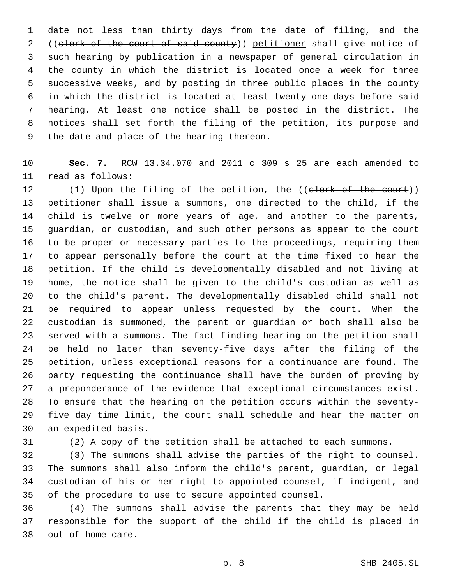date not less than thirty days from the date of filing, and the 2 ((elerk of the court of said county)) petitioner shall give notice of such hearing by publication in a newspaper of general circulation in the county in which the district is located once a week for three successive weeks, and by posting in three public places in the county in which the district is located at least twenty-one days before said hearing. At least one notice shall be posted in the district. The notices shall set forth the filing of the petition, its purpose and 9 the date and place of the hearing thereon.

 **Sec. 7.** RCW 13.34.070 and 2011 c 309 s 25 are each amended to 11 read as follows:

12 (1) Upon the filing of the petition, the ((elerk of the court)) petitioner shall issue a summons, one directed to the child, if the child is twelve or more years of age, and another to the parents, guardian, or custodian, and such other persons as appear to the court to be proper or necessary parties to the proceedings, requiring them to appear personally before the court at the time fixed to hear the petition. If the child is developmentally disabled and not living at home, the notice shall be given to the child's custodian as well as to the child's parent. The developmentally disabled child shall not be required to appear unless requested by the court. When the custodian is summoned, the parent or guardian or both shall also be served with a summons. The fact-finding hearing on the petition shall be held no later than seventy-five days after the filing of the petition, unless exceptional reasons for a continuance are found. The party requesting the continuance shall have the burden of proving by a preponderance of the evidence that exceptional circumstances exist. To ensure that the hearing on the petition occurs within the seventy- five day time limit, the court shall schedule and hear the matter on 30 an expedited basis.

(2) A copy of the petition shall be attached to each summons.

 (3) The summons shall advise the parties of the right to counsel. The summons shall also inform the child's parent, guardian, or legal custodian of his or her right to appointed counsel, if indigent, and of the procedure to use to secure appointed counsel.

 (4) The summons shall advise the parents that they may be held responsible for the support of the child if the child is placed in 38 out-of-home care.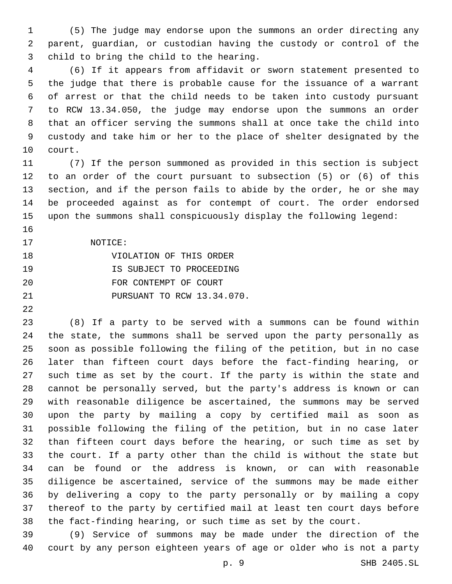(5) The judge may endorse upon the summons an order directing any parent, guardian, or custodian having the custody or control of the 3 child to bring the child to the hearing.

 (6) If it appears from affidavit or sworn statement presented to the judge that there is probable cause for the issuance of a warrant of arrest or that the child needs to be taken into custody pursuant to RCW 13.34.050, the judge may endorse upon the summons an order that an officer serving the summons shall at once take the child into custody and take him or her to the place of shelter designated by the 10 court.

 (7) If the person summoned as provided in this section is subject to an order of the court pursuant to subsection (5) or (6) of this section, and if the person fails to abide by the order, he or she may be proceeded against as for contempt of court. The order endorsed upon the summons shall conspicuously display the following legend:

- 
- 17 NOTICE:

| 18 | VIOLATION OF THIS ORDER    |
|----|----------------------------|
| 19 | IS SUBJECT TO PROCEEDING   |
| 20 | FOR CONTEMPT OF COURT      |
| 21 | PURSUANT TO RCW 13.34.070. |

 (8) If a party to be served with a summons can be found within the state, the summons shall be served upon the party personally as soon as possible following the filing of the petition, but in no case later than fifteen court days before the fact-finding hearing, or such time as set by the court. If the party is within the state and cannot be personally served, but the party's address is known or can with reasonable diligence be ascertained, the summons may be served upon the party by mailing a copy by certified mail as soon as possible following the filing of the petition, but in no case later than fifteen court days before the hearing, or such time as set by the court. If a party other than the child is without the state but can be found or the address is known, or can with reasonable diligence be ascertained, service of the summons may be made either by delivering a copy to the party personally or by mailing a copy thereof to the party by certified mail at least ten court days before the fact-finding hearing, or such time as set by the court.

 (9) Service of summons may be made under the direction of the court by any person eighteen years of age or older who is not a party

p. 9 SHB 2405.SL